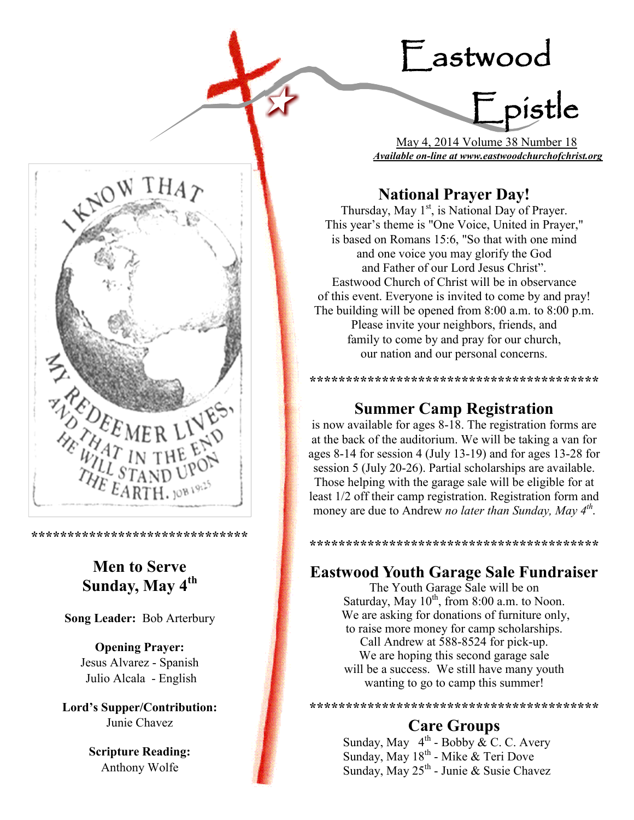# Eastwood

=<br>Fpistle

 May 4, 2014 Volume 38 Number 18 *Available on-line at www.eastwoodchurchofchrist.org*

# **National Prayer Day!**

Thursday, May 1<sup>st</sup>, is National Day of Prayer. This year's theme is "One Voice, United in Prayer," is based on Romans 15:6, "So that with one mind and one voice you may glorify the God and Father of our Lord Jesus Christ". Eastwood Church of Christ will be in observance of this event. Everyone is invited to come by and pray! The building will be opened from 8:00 a.m. to 8:00 p.m. Please invite your neighbors, friends, and family to come by and pray for our church, our nation and our personal concerns.

## **Summer Camp Registration**

**\*\*\*\*\*\*\*\*\*\*\*\*\*\*\*\*\*\*\*\*\*\*\*\*\*\*\*\*\*\*\*\*\*\*\*\*\*\*\*\***

is now available for ages 8-18. The registration forms are at the back of the auditorium. We will be taking a van for ages 8-14 for session 4 (July 13-19) and for ages 13-28 for session 5 (July 20-26). Partial scholarships are available. Those helping with the garage sale will be eligible for at least 1/2 off their camp registration. Registration form and money are due to Andrew *no later than Sunday, May 4th* **.**

#### **\*\*\*\*\*\*\*\*\*\*\*\*\*\*\*\*\*\*\*\*\*\*\*\*\*\*\*\*\*\*\*\*\*\*\*\*\*\*\*\***

#### **Eastwood Youth Garage Sale Fundraiser**

The Youth Garage Sale will be on Saturday, May  $10^{th}$ , from 8:00 a.m. to Noon. We are asking for donations of furniture only, to raise more money for camp scholarships. Call Andrew at 588-8524 for pick-up. We are hoping this second garage sale will be a success. We still have many youth wanting to go to camp this summer!

**\*\*\*\*\*\*\*\*\*\*\*\*\*\*\*\*\*\*\*\*\*\*\*\*\*\*\*\*\*\*\*\*\*\*\*\*\*\*\*\***

#### **Care Groups**

Sunday, May  $4^{\text{th}}$  - Bobby  $\&$  C. C. Avery Sunday, May 18<sup>th</sup> - Mike & Teri Dove Sunday, May 25<sup>th</sup> - Junie & Susie Chavez



**\*\*\*\*\*\*\*\*\*\*\*\*\*\*\*\*\*\*\*\*\*\*\*\*\*\*\*\*\*\***

# **Men to Serve Sunday, May 4th**

**Song Leader:** Bob Arterbury

**Opening Prayer:** Jesus Alvarez - Spanish Julio Alcala - English

**Lord's Supper/Contribution:**  Junie Chavez

> **Scripture Reading:**  Anthony Wolfe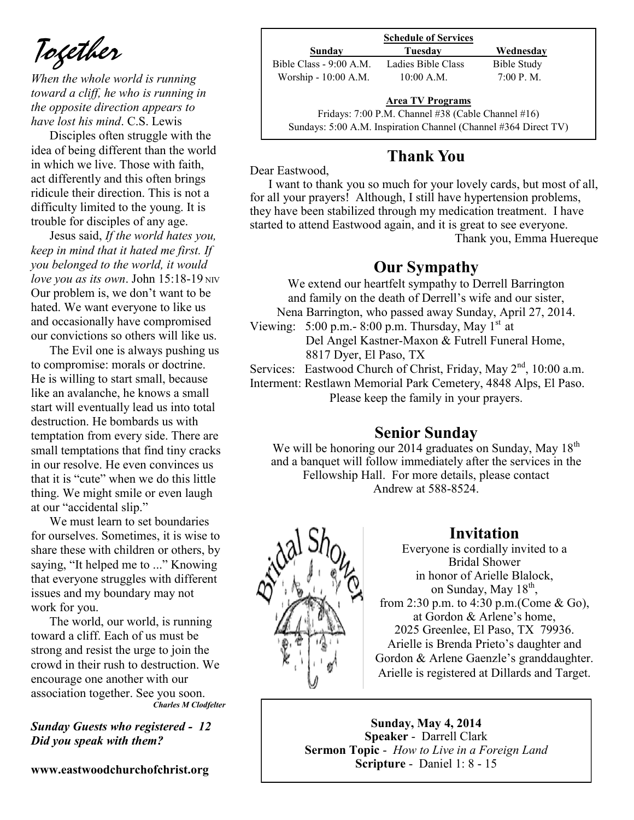*Together*

*When the whole world is running toward a cliff, he who is running in the opposite direction appears to have lost his mind*. C.S. Lewis

Disciples often struggle with the idea of being different than the world in which we live. Those with faith, act differently and this often brings ridicule their direction. This is not a difficulty limited to the young. It is trouble for disciples of any age.

Jesus said, *If the world hates you, keep in mind that it hated me first. If you belonged to the world, it would love you as its own.* John  $15:18-19$  NIV Our problem is, we don't want to be hated. We want everyone to like us and occasionally have compromised our convictions so others will like us.

The Evil one is always pushing us to compromise: morals or doctrine. He is willing to start small, because like an avalanche, he knows a small start will eventually lead us into total destruction. He bombards us with temptation from every side. There are small temptations that find tiny cracks in our resolve. He even convinces us that it is "cute" when we do this little thing. We might smile or even laugh at our "accidental slip."

We must learn to set boundaries for ourselves. Sometimes, it is wise to share these with children or others, by saying, "It helped me to ..." Knowing that everyone struggles with different issues and my boundary may not work for you.

The world, our world, is running toward a cliff. Each of us must be strong and resist the urge to join the crowd in their rush to destruction. We encourage one another with our association together. See you soon. *Charles M Clodfelter*

*Sunday Guests who registered - 12 Did you speak with them?*

**www.eastwoodchurchofchrist.org**

| <b>Schedule of Services</b> |                                                    |             |
|-----------------------------|----------------------------------------------------|-------------|
| Sunday                      | Tuesdav                                            | Wednesday   |
| Bible Class - 9:00 A.M.     | Ladies Bible Class                                 | Bible Study |
| Worship - 10:00 A.M.        | $10:00$ A.M.                                       | 7:00 P. M.  |
|                             | <b>Area TV Programs</b>                            |             |
|                             | Fridays: 7:00 P.M. Channel #38 (Cable Channel #16) |             |

Sundays: 5:00 A.M. Inspiration Channel (Channel #364 Direct TV)

## **Thank You**

Dear Eastwood,

I want to thank you so much for your lovely cards, but most of all, for all your prayers! Although, I still have hypertension problems, they have been stabilized through my medication treatment. I have started to attend Eastwood again, and it is great to see everyone. Thank you, Emma Huereque

### **Our Sympathy**

We extend our heartfelt sympathy to Derrell Barrington and family on the death of Derrell's wife and our sister, Nena Barrington, who passed away Sunday, April 27, 2014.

Viewing: 5:00 p.m.- 8:00 p.m. Thursday, May  $1<sup>st</sup>$  at Del Angel Kastner-Maxon & Futrell Funeral Home, 8817 Dyer, El Paso, TX

Services: Eastwood Church of Christ, Friday, May 2<sup>nd</sup>, 10:00 a.m. Interment: Restlawn Memorial Park Cemetery, 4848 Alps, El Paso.

Please keep the family in your prayers.

#### **Senior Sunday**

We will be honoring our 2014 graduates on Sunday, May  $18<sup>th</sup>$ and a banquet will follow immediately after the services in the Fellowship Hall. For more details, please contact Andrew at 588-8524.



#### **Invitation**

Everyone is cordially invited to a Bridal Shower in honor of Arielle Blalock, on Sunday, May  $18<sup>th</sup>$ , from 2:30 p.m. to 4:30 p.m.(Come & Go), at Gordon & Arlene's home, 2025 Greenlee, El Paso, TX 79936. Arielle is Brenda Prieto's daughter and Gordon & Arlene Gaenzle's granddaughter. Arielle is registered at Dillards and Target.

**Sunday, May 4, 2014 Speaker** - Darrell Clark **Sermon Topic** - *How to Live in a Foreign Land*  **Scripture** - Daniel 1: 8 - 15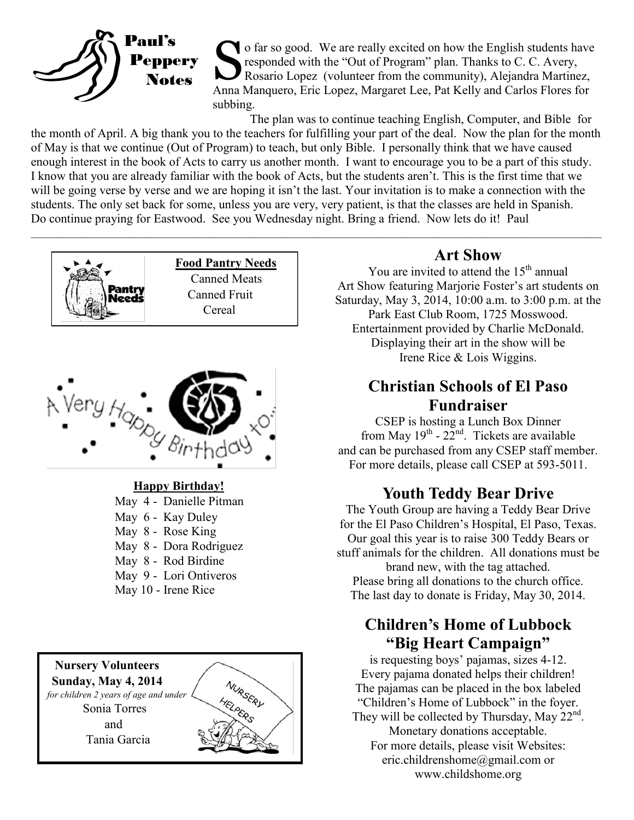

O far so good. We are really excited on how the English students have<br>responded with the "Out of Program" plan. Thanks to C. C. Avery,<br>Rosario Lopez (volunteer from the community), Alejandra Martinez,<br>Anna Manquero, Eric L o far so good. We are really excited on how the English students have responded with the "Out of Program" plan. Thanks to C. C. Avery, Rosario Lopez (volunteer from the community), Alejandra Martinez, subbing.

The plan was to continue teaching English, Computer, and Bible for the month of April. A big thank you to the teachers for fulfilling your part of the deal. Now the plan for the month of May is that we continue (Out of Program) to teach, but only Bible. I personally think that we have caused enough interest in the book of Acts to carry us another month. I want to encourage you to be a part of this study. I know that you are already familiar with the book of Acts, but the students aren't. This is the first time that we will be going verse by verse and we are hoping it isn't the last. Your invitation is to make a connection with the students. The only set back for some, unless you are very, very patient, is that the classes are held in Spanish. Do continue praying for Eastwood. See you Wednesday night. Bring a friend. Now lets do it! Paul



#### **Happy Birthday!**

 May 4 - Danielle Pitman May 6 - Kay Duley May 8 - Rose King May 8 - Dora Rodriguez May 8 - Rod Birdine May 9 - Lori Ontiveros May 10 - Irene Rice



#### **Art Show**

You are invited to attend the  $15<sup>th</sup>$  annual Art Show featuring Marjorie Foster's art students on Saturday, May 3, 2014, 10:00 a.m. to 3:00 p.m. at the Park East Club Room, 1725 Mosswood. Entertainment provided by Charlie McDonald. Displaying their art in the show will be

Irene Rice & Lois Wiggins.

## **Christian Schools of El Paso Fundraiser**

CSEP is hosting a Lunch Box Dinner from May  $19^{th}$  -  $22^{nd}$ . Tickets are available and can be purchased from any CSEP staff member. For more details, please call CSEP at 593-5011.

#### **Youth Teddy Bear Drive**

The Youth Group are having a Teddy Bear Drive for the El Paso Children's Hospital, El Paso, Texas. Our goal this year is to raise 300 Teddy Bears or stuff animals for the children. All donations must be

brand new, with the tag attached. Please bring all donations to the church office. The last day to donate is Friday, May 30, 2014.

### **Children's Home of Lubbock "Big Heart Campaign"**

is requesting boys' pajamas, sizes 4-12. Every pajama donated helps their children! The pajamas can be placed in the box labeled "Children's Home of Lubbock" in the foyer. They will be collected by Thursday, May  $22<sup>nd</sup>$ . Monetary donations acceptable. For more details, please visit Websites: eric.childrenshome@gmail.com or www.childshome.org